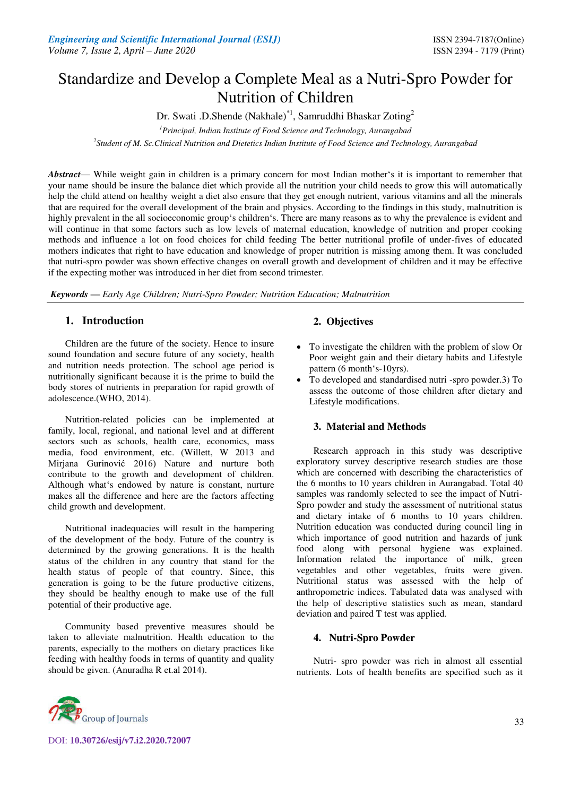# Standardize and Develop a Complete Meal as a Nutri-Spro Powder for Nutrition of Children

Dr. Swati .D.Shende (Nakhale)<sup>\*1</sup>, Samruddhi Bhaskar Zoting<sup>2</sup>

*<sup>1</sup>Principal, Indian Institute of Food Science and Technology, Aurangabad* 

*2 Student of M. Sc.Clinical Nutrition and Dietetics Indian Institute of Food Science and Technology, Aurangabad* 

*Abstract*— While weight gain in children is a primary concern for most Indian mother's it is important to remember that your name should be insure the balance diet which provide all the nutrition your child needs to grow this will automatically help the child attend on healthy weight a diet also ensure that they get enough nutrient, various vitamins and all the minerals that are required for the overall development of the brain and physics. According to the findings in this study, malnutrition is highly prevalent in the all socioeconomic group's children's. There are many reasons as to why the prevalence is evident and will continue in that some factors such as low levels of maternal education, knowledge of nutrition and proper cooking methods and influence a lot on food choices for child feeding The better nutritional profile of under-fives of educated mothers indicates that right to have education and knowledge of proper nutrition is missing among them. It was concluded that nutri-spro powder was shown effective changes on overall growth and development of children and it may be effective if the expecting mother was introduced in her diet from second trimester.

*Keywords* **—** *Early Age Children; Nutri-Spro Powder; Nutrition Education; Malnutrition*

# **1. Introduction**

Children are the future of the society. Hence to insure sound foundation and secure future of any society, health and nutrition needs protection. The school age period is nutritionally significant because it is the prime to build the body stores of nutrients in preparation for rapid growth of adolescence.(WHO, 2014).

Nutrition-related policies can be implemented at family, local, regional, and national level and at different sectors such as schools, health care, economics, mass media, food environment, etc. (Willett, W 2013 and Mirjana Gurinović 2016) Nature and nurture both contribute to the growth and development of children. Although what's endowed by nature is constant, nurture makes all the difference and here are the factors affecting child growth and development.

Nutritional inadequacies will result in the hampering of the development of the body. Future of the country is determined by the growing generations. It is the health status of the children in any country that stand for the health status of people of that country. Since, this generation is going to be the future productive citizens, they should be healthy enough to make use of the full potential of their productive age.

Community based preventive measures should be taken to alleviate malnutrition. Health education to the parents, especially to the mothers on dietary practices like feeding with healthy foods in terms of quantity and quality should be given. [\(Anuradha R e](https://www.ncbi.nlm.nih.gov/pubmed/?term=R%20A%5BAuthor%5D&cauthor=true&cauthor_uid=25478370)t.al 2014).

# **2. Objectives**

- To investigate the children with the problem of slow Or Poor weight gain and their dietary habits and Lifestyle pattern (6 month's-10yrs).
- To developed and standardised nutri -spro powder.3) To assess the outcome of those children after dietary and Lifestyle modifications.

# **3. Material and Methods**

Research approach in this study was descriptive exploratory survey descriptive research studies are those which are concerned with describing the characteristics of the 6 months to 10 years children in Aurangabad. Total 40 samples was randomly selected to see the impact of Nutri-Spro powder and study the assessment of nutritional status and dietary intake of 6 months to 10 years children. Nutrition education was conducted during council ling in which importance of good nutrition and hazards of junk food along with personal hygiene was explained. Information related the importance of milk, green vegetables and other vegetables, fruits were given. Nutritional status was assessed with the help of anthropometric indices. Tabulated data was analysed with the help of descriptive statistics such as mean, standard deviation and paired T test was applied.

# **4. Nutri-Spro Powder**

Nutri- spro powder was rich in almost all essential nutrients. Lots of health benefits are specified such as it



DOI: **10.30726/esij/v7.i2.2020.72007**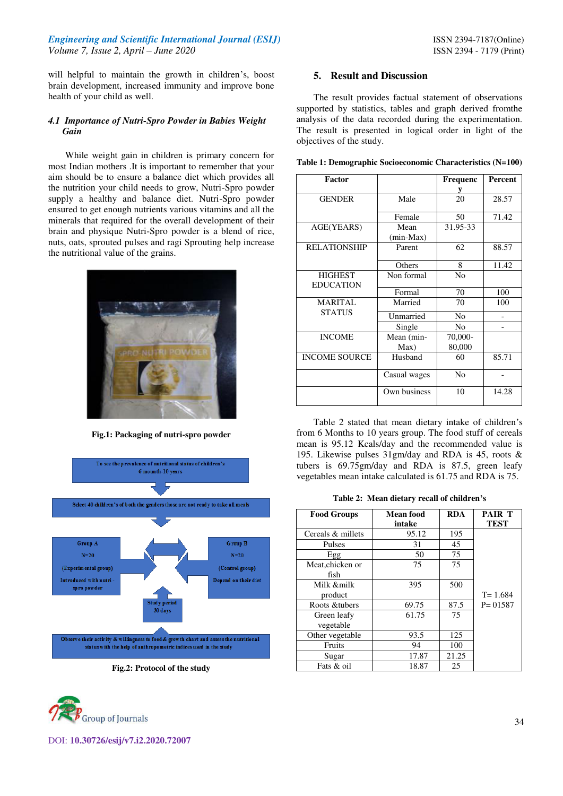#### *Engineering and Scientific International Journal (ESIJ)* **ISSN 2394-7187(Online) ISSN 2394-7187(Online)** *Volume 7, Issue 2, April – June 2020* ISSN 2394 - 7179 (Print)

will helpful to maintain the growth in children's, boost brain development, increased immunity and improve bone health of your child as well.

#### *4.1 Importance of Nutri-Spro Powder in Babies Weight Gain*

While weight gain in children is primary concern for most Indian mothers .It is important to remember that your aim should be to ensure a balance diet which provides all the nutrition your child needs to grow, Nutri-Spro powder supply a healthy and balance diet. Nutri-Spro powder ensured to get enough nutrients various vitamins and all the minerals that required for the overall development of their brain and physique Nutri-Spro powder is a blend of rice, nuts, oats, sprouted pulses and ragi Sprouting help increase the nutritional value of the grains.



**Fig.1: Packaging of nutri-spro powder**



**Fig.2: Protocol of the study**



DOI: **10.30726/esij/v7.i2.2020.72007**

#### **5. Result and Discussion**

The result provides factual statement of observations supported by statistics, tables and graph derived fromthe analysis of the data recorded during the experimentation. The result is presented in logical order in light of the objectives of the study.

|  |  | Table 1: Demographic Socioeconomic Characteristics (N=100) |  |
|--|--|------------------------------------------------------------|--|
|  |  |                                                            |  |

| <b>Factor</b>        |              | Frequenc       | Percent |
|----------------------|--------------|----------------|---------|
|                      |              | y              |         |
| <b>GENDER</b>        | Male         | 20             | 28.57   |
|                      | Female       | 50             | 71.42   |
| AGE(YEARS)           | Mean         | 31.95-33       |         |
|                      | $(min-Max)$  |                |         |
| <b>RELATIONSHIP</b>  | Parent       | 62             | 88.57   |
|                      | Others       | 8              | 11.42   |
| <b>HIGHEST</b>       | Non formal   | N <sub>0</sub> |         |
| <b>EDUCATION</b>     | Formal       | 70             | 100     |
| <b>MARITAL</b>       | Married      | 70             | 100     |
| <b>STATUS</b>        | Unmarried    | N <sub>0</sub> |         |
|                      | Single       | N <sub>0</sub> |         |
| <b>INCOME</b>        | Mean (min-   | 70,000-        |         |
|                      | Max)         | 80,000         |         |
| <b>INCOME SOURCE</b> | Husband      | 60             | 85.71   |
|                      | Casual wages | No             |         |
|                      | Own business | 10             | 14.28   |

Table 2 stated that mean dietary intake of children's from 6 Months to 10 years group. The food stuff of cereals mean is 95.12 Kcals/day and the recommended value is 195. Likewise pulses 31gm/day and RDA is 45, roots & tubers is 69.75gm/day and RDA is 87.5, green leafy vegetables mean intake calculated is 61.75 and RDA is 75.

**Table 2: Mean dietary recall of children's** 

| <b>Food Groups</b>       | Mean food<br>intake | <b>RDA</b> | <b>PAIR T</b><br><b>TEST</b> |
|--------------------------|---------------------|------------|------------------------------|
| Cereals & millets        | 95.12               | 195        |                              |
| Pulses                   | 31                  | 45         |                              |
| Egg                      | 50                  | 75         |                              |
| Meat, chicken or<br>fish | 75                  | 75         |                              |
| Milk &milk<br>product    | 395                 | 500        | $T = 1.684$                  |
| Roots & tubers           | 69.75               | 87.5       | $P = 01587$                  |
| Green leafy<br>vegetable | 61.75               | 75         |                              |
| Other vegetable          | 93.5                | 125        |                              |
| Fruits                   | 94                  | 100        |                              |
| Sugar                    | 17.87               | 21.25      |                              |
| Fats & oil               | 18.87               | 25         |                              |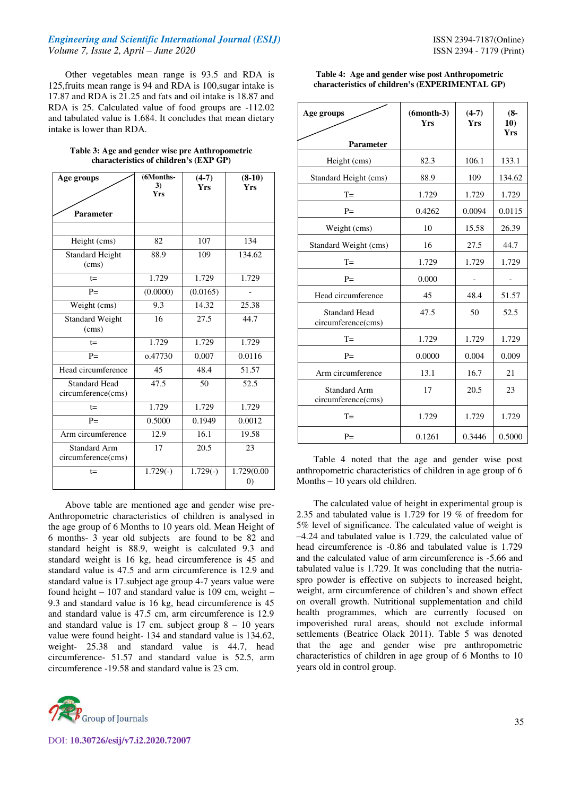#### *Engineering and Scientific International Journal (ESIJ)* **ISSN 2394-7187(Online) ISSN 2394-7187(Online)** *Volume 7, Issue 2, April – June 2020* ISSN 2394 - 7179 (Print)

Other vegetables mean range is 93.5 and RDA is 125,fruits mean range is 94 and RDA is 100,sugar intake is 17.87 and RDA is 21.25 and fats and oil intake is 18.87 and RDA is 25. Calculated value of food groups are -112.02 and tabulated value is 1.684. It concludes that mean dietary intake is lower than RDA.

| Table 3: Age and gender wise pre Anthropometric |  |
|-------------------------------------------------|--|
| characteristics of children's (EXP GP)          |  |

| Age groups                                 | (6Months-<br>3) | $(4-7)$<br><b>Yrs</b> | $(8-10)$<br><b>Yrs</b>          |
|--------------------------------------------|-----------------|-----------------------|---------------------------------|
|                                            | <b>Yrs</b>      |                       |                                 |
| Parameter                                  |                 |                       |                                 |
|                                            |                 |                       |                                 |
| Height (cms)                               | 82              | 107                   | 134                             |
| <b>Standard Height</b><br>(cms)            | 88.9            | 109                   | 134.62                          |
| $t =$                                      | 1.729           | 1.729                 | 1.729                           |
| $P =$                                      | (0.0000)        | (0.0165)              |                                 |
| Weight (cms)                               | 9.3             | 14.32                 | 25.38                           |
| <b>Standard Weight</b><br>(cms)            | 16              | 27.5                  | 44.7                            |
| $t =$                                      | 1.729           | 1.729                 | 1.729                           |
| $P=$                                       | o.47730         | 0.007                 | 0.0116                          |
| Head circumference                         | 45              | 48.4                  | 51.57                           |
| <b>Standard Head</b><br>circumference(cms) | 47.5            | 50                    | 52.5                            |
| $t =$                                      | 1.729           | 1.729                 | 1.729                           |
| $P =$                                      | 0.5000          | 0.1949                | 0.0012                          |
| Arm circumference                          | 12.9            | 16.1                  | 19.58                           |
| <b>Standard Arm</b><br>circumference(cms)  | 17              | 20.5                  | 23                              |
| $t =$                                      | $1.729(-)$      | $1.729(-)$            | 1.729(0.00<br>$\left( 0\right)$ |

Above table are mentioned age and gender wise pre-Anthropometric characteristics of children is analysed in the age group of 6 Months to 10 years old. Mean Height of 6 months- 3 year old subjects are found to be 82 and standard height is 88.9, weight is calculated 9.3 and standard weight is 16 kg, head circumference is 45 and standard value is 47.5 and arm circumference is 12.9 and standard value is 17.subject age group 4-7 years value were found height  $-107$  and standard value is 109 cm, weight  $-$ 9.3 and standard value is 16 kg, head circumference is 45 and standard value is 47.5 cm, arm circumference is 12.9 and standard value is 17 cm. subject group  $8 - 10$  years value were found height- 134 and standard value is 134.62, weight- 25.38 and standard value is 44.7, head circumference- 51.57 and standard value is 52.5, arm circumference -19.58 and standard value is 23 cm.



#### DOI: **10.30726/esij/v7.i2.2020.72007**

#### **Table 4: Age and gender wise post Anthropometric characteristics of children's (EXPERIMENTAL GP)**

| Age groups<br><b>Parameter</b>             | $(6 month-3)$<br><b>Yrs</b> | $(4-7)$<br><b>Yrs</b> | $(8 -$<br>10)<br><b>Yrs</b> |
|--------------------------------------------|-----------------------------|-----------------------|-----------------------------|
| Height (cms)                               | 82.3                        | 106.1                 | 133.1                       |
| Standard Height (cms)                      | 88.9                        | 109                   | 134.62                      |
| $T =$                                      | 1.729                       | 1.729                 | 1.729                       |
| $P=$                                       | 0.4262                      | 0.0094                | 0.0115                      |
| Weight (cms)                               | 10                          | 15.58                 | 26.39                       |
| Standard Weight (cms)                      | 16                          | 27.5                  | 44.7                        |
| $T =$                                      | 1.729                       | 1.729                 | 1.729                       |
| $P=$                                       | 0.000                       |                       |                             |
| Head circumference                         | 45                          | 48.4                  | 51.57                       |
| <b>Standard Head</b><br>circumference(cms) | 47.5                        | 50                    | 52.5                        |
| $T =$                                      | 1.729                       | 1.729                 | 1.729                       |
| $P=$                                       | 0.0000                      | 0.004                 | 0.009                       |
| Arm circumference                          | 13.1                        | 16.7                  | 21                          |
| <b>Standard Arm</b><br>circumference(cms)  | 17                          | 20.5                  | 23                          |
| $T =$                                      | 1.729                       | 1.729                 | 1.729                       |
| $P=$                                       | 0.1261                      | 0.3446                | 0.5000                      |

Table 4 noted that the age and gender wise post anthropometric characteristics of children in age group of 6 Months – 10 years old children.

The calculated value of height in experimental group is 2.35 and tabulated value is 1.729 for 19 % of freedom for 5% level of significance. The calculated value of weight is –4.24 and tabulated value is 1.729, the calculated value of head circumference is -0.86 and tabulated value is 1.729 and the calculated value of arm circumference is -5.66 and tabulated value is 1.729. It was concluding that the nutriaspro powder is effective on subjects to increased height, weight, arm circumference of children's and shown effect on overall growth. Nutritional supplementation and child health programmes, which are currently focused on impoverished rural areas, should not exclude informal settlements [\(Beatrice Olack](https://www.ncbi.nlm.nih.gov/pubmed/?term=Olack%20B%5BAuthor%5D&cauthor=true&cauthor_uid=21957674) 2011). Table 5 was denoted that the age and gender wise pre anthropometric characteristics of children in age group of 6 Months to 10 years old in control group.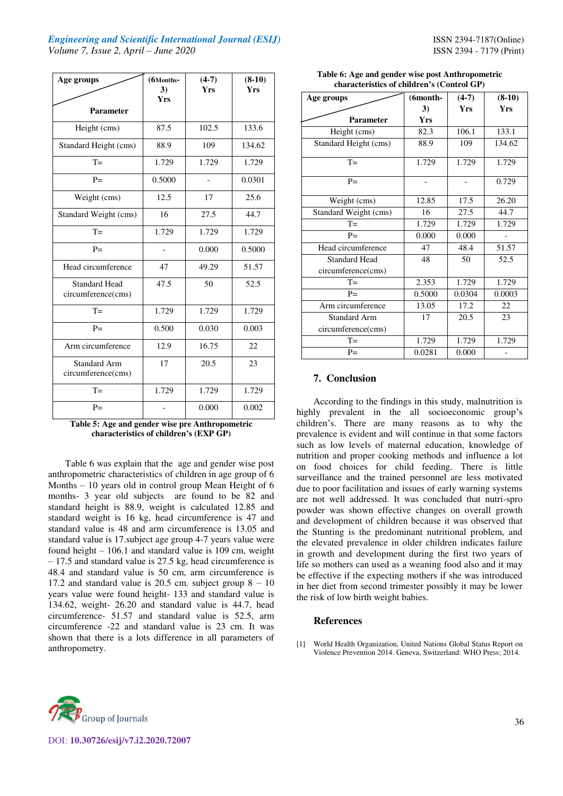### *Engineering and Scientific International Journal (ESIJ)* **ISSN 2394-7187(Online) ISSN 2394-7187(Online)** *Volume 7, Issue 2, April – June 2020* ISSN 2394 - 7179 (Print)

| Age groups<br><b>Parameter</b>             | (6Months-<br>3)<br><b>Yrs</b> | $(4-7)$<br><b>Yrs</b> | $(8-10)$<br><b>Yrs</b> |
|--------------------------------------------|-------------------------------|-----------------------|------------------------|
| Height (cms)                               | 87.5                          | 102.5                 | 133.6                  |
| Standard Height (cms)                      | 88.9                          | 109                   | 134.62                 |
| $T =$                                      | 1.729                         | 1.729                 | 1.729                  |
| $P=$                                       | 0.5000                        |                       | 0.0301                 |
| Weight (cms)                               | 12.5                          | 17                    | 25.6                   |
| Standard Weight (cms)                      | 16                            | 27.5                  | 44.7                   |
| $T =$                                      | 1.729                         | 1.729                 | 1.729                  |
| $P=$                                       |                               | 0.000                 | 0.5000                 |
| Head circumference                         | 47                            | 49.29                 | 51.57                  |
| <b>Standard Head</b><br>circumference(cms) | 47.5                          | 50                    | 52.5                   |
| $T =$                                      | 1.729                         | 1.729                 | 1.729                  |
| $P=$                                       | 0.500                         | 0.030                 | 0.003                  |
| Arm circumference                          | 12.9                          | 16.75                 | 22                     |
| <b>Standard Arm</b><br>circumference(cms)  | 17                            | 20.5                  | 23                     |
| $T =$                                      | 1.729                         | 1.729                 | 1.729                  |
| $P=$                                       |                               | 0.000                 | 0.002                  |

**Table 5: Age and gender wise pre Anthropometric characteristics of children's (EXP GP)** 

Table 6 was explain that the age and gender wise post anthropometric characteristics of children in age group of 6 Months – 10 years old in control group Mean Height of 6 months- 3 year old subjects are found to be 82 and standard height is 88.9, weight is calculated 12.85 and standard weight is 16 kg, head circumference is 47 and standard value is 48 and arm circumference is 13.05 and standard value is 17.subject age group 4-7 years value were found height – 106.1 and standard value is 109 cm, weight – 17.5 and standard value is 27.5 kg, head circumference is 48.4 and standard value is 50 cm, arm circumference is 17.2 and standard value is 20.5 cm. subject group  $8 - 10$ years value were found height- 133 and standard value is 134.62, weight- 26.20 and standard value is 44.7, head circumference- 51.57 and standard value is 52.5, arm circumference -22 and standard value is 23 cm. It was shown that there is a lots difference in all parameters of anthropometry.

| Age groups            | $(6$ month- | $(4-7)$    | $(8-10)$   |
|-----------------------|-------------|------------|------------|
|                       | 3)          | <b>Yrs</b> | <b>Yrs</b> |
| <b>Parameter</b>      | <b>Yrs</b>  |            |            |
| Height (cms)          | 82.3        | 106.1      | 133.1      |
| Standard Height (cms) | 88.9        | 109        | 134.62     |
| $T =$                 | 1.729       | 1.729      | 1.729      |
| $P=$                  |             |            | 0.729      |
| Weight (cms)          | 12.85       | 17.5       | 26.20      |
| Standard Weight (cms) | 16          | 27.5       | 44.7       |
| $T =$                 | 1.729       | 1.729      | 1.729      |
| $P =$                 | 0.000       | 0.000      |            |
| Head circumference    | 47          | 48.4       | 51.57      |
| <b>Standard Head</b>  | 48          | 50         | 52.5       |
| circumference(cms)    |             |            |            |
| $T =$                 | 2.353       | 1.729      | 1.729      |
| $P=$                  | 0.5000      | 0.0304     | 0.0003     |
| Arm circumference     | 13.05       | 17.2       | 22         |
| <b>Standard Arm</b>   | 17          | 20.5       | 23         |
| circumference(cms)    |             |            |            |
| $T =$                 | 1.729       | 1.729      | 1.729      |
| $P=$                  | 0.0281      | 0.000      |            |

#### **Table 6: Age and gender wise post Anthropometric characteristics of children's (Control GP)**

## **7. Conclusion**

According to the findings in this study, malnutrition is highly prevalent in the all socioeconomic group's children's. There are many reasons as to why the prevalence is evident and will continue in that some factors such as low levels of maternal education, knowledge of nutrition and proper cooking methods and influence a lot on food choices for child feeding. There is little surveillance and the trained personnel are less motivated due to poor facilitation and issues of early warning systems are not well addressed. It was concluded that nutri-spro powder was shown effective changes on overall growth and development of children because it was observed that the Stunting is the predominant nutritional problem, and the elevated prevalence in older children indicates failure in growth and development during the first two years of life so mothers can used as a weaning food also and it may be effective if the expecting mothers if she was introduced in her diet from second trimester possibly it may be lower the risk of low birth weight babies.

#### **References**

[1] World Health Organization, United Nations Global Status Report on Violence Prevention 2014. Geneva, Switzerland: WHO Press; 2014.



DOI: **10.30726/esij/v7.i2.2020.72007**